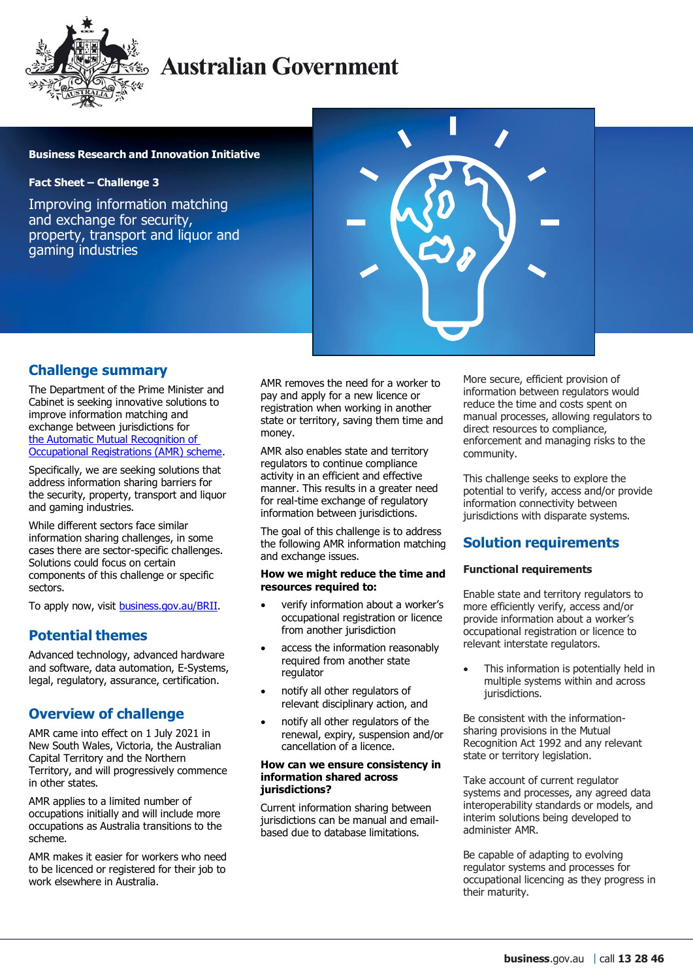

# **Australian Government**

### **Business Research and Innovation Initiative**

### **Fact Sheet – Challenge 3**

Improving information matching and exchange for security, property, transport and liquor and gaming industries



### **Challenge summary**

The Department of the Prime Minister and Cabinet is seeking innovative solutions to improve information matching and exchange between jurisdictions for [the Automatic Mutual Recognition of](https://deregulation.pmc.gov.au/priorities/improving-occupational-mobility)  [Occupational Registrations \(AMR\) scheme.](https://deregulation.pmc.gov.au/priorities/improving-occupational-mobility)

Specifically, we are seeking solutions that address information sharing barriers for the security, property, transport and liquor and gaming industries.

While different sectors face similar information sharing challenges, in some cases there are sector-specific challenges. Solutions could focus on certain components of this challenge or specific sectors.

To apply now, visit [business.gov.au/BRII.](https://business.gov.au/grants-and-programs/business-research-and-innovation-initiative)

# **Potential themes**

Advanced technology, advanced hardware and software, data automation, E-Systems, legal, regulatory, assurance, certification.

# **Overview of challenge**

AMR came into effect on 1 July 2021 in New South Wales, Victoria, the Australian Capital Territory and the Northern Territory, and will progressively commence in other states.

AMR applies to a limited number of occupations initially and will include more occupations as Australia transitions to the scheme.

AMR makes it easier for workers who need to be licenced or registered for their job to work elsewhere in Australia.

AMR removes the need for a worker to pay and apply for a new licence or registration when working in another state or territory, saving them time and money.

AMR also enables state and territory regulators to continue compliance activity in an efficient and effective manner. This results in a greater need for real-time exchange of regulatory information between jurisdictions.

The goal of this challenge is to address the following AMR information matching and exchange issues.

#### **How we might reduce the time and resources required to:**

- verify information about a worker's occupational registration or licence from another jurisdiction
- access the information reasonably required from another state regulator
- notify all other regulators of relevant disciplinary action, and
- notify all other regulators of the renewal, expiry, suspension and/or cancellation of a licence.

#### **How can we ensure consistency in information shared across jurisdictions?**

Current information sharing between jurisdictions can be manual and emailbased due to database limitations.

More secure, efficient provision of information between regulators would reduce the time and costs spent on manual processes, allowing regulators to direct resources to compliance, enforcement and managing risks to the community.

This challenge seeks to explore the potential to verify, access and/or provide information connectivity between jurisdictions with disparate systems.

# **Solution requirements**

### **Functional requirements**

Enable state and territory regulators to more efficiently verify, access and/or provide information about a worker's occupational registration or licence to relevant interstate regulators.

 This information is potentially held in multiple systems within and across jurisdictions.

Be consistent with the informationsharing provisions in the Mutual Recognition Act 1992 and any relevant state or territory legislation.

Take account of current regulator systems and processes, any agreed data interoperability standards or models, and interim solutions being developed to administer AMR.

Be capable of adapting to evolving regulator systems and processes for occupational licencing as they progress in their maturity.